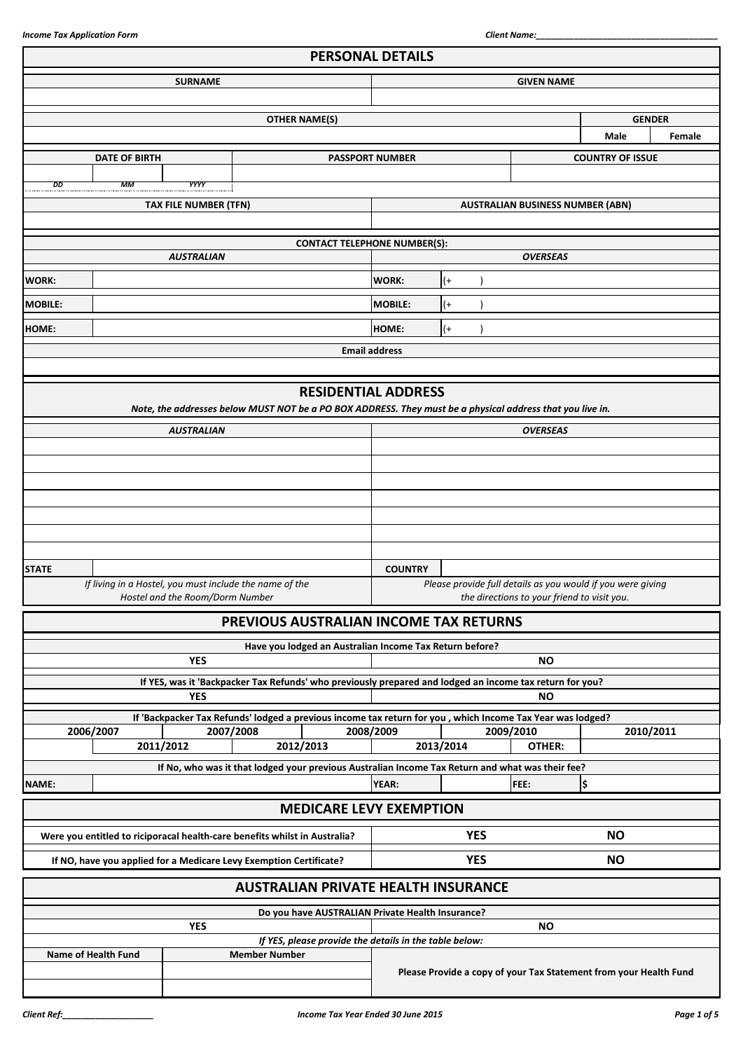|                     |                      |                                                                                            |                      | <b>PERSONAL DETAILS</b>                                 |                                                                                                            |           |            |                                                                                                                         |                         |        |
|---------------------|----------------------|--------------------------------------------------------------------------------------------|----------------------|---------------------------------------------------------|------------------------------------------------------------------------------------------------------------|-----------|------------|-------------------------------------------------------------------------------------------------------------------------|-------------------------|--------|
|                     |                      | <b>SURNAME</b>                                                                             |                      |                                                         | <b>GIVEN NAME</b>                                                                                          |           |            |                                                                                                                         |                         |        |
|                     |                      |                                                                                            |                      |                                                         |                                                                                                            |           |            |                                                                                                                         |                         |        |
|                     |                      |                                                                                            |                      | <b>OTHER NAME(S)</b>                                    |                                                                                                            |           |            |                                                                                                                         | <b>GENDER</b>           |        |
|                     |                      |                                                                                            |                      |                                                         |                                                                                                            |           |            |                                                                                                                         | <b>Male</b>             | Female |
|                     | <b>DATE OF BIRTH</b> |                                                                                            |                      |                                                         | <b>PASSPORT NUMBER</b>                                                                                     |           |            |                                                                                                                         | <b>COUNTRY OF ISSUE</b> |        |
| DD                  | MМ                   | <b>YYYY</b>                                                                                |                      |                                                         |                                                                                                            |           |            |                                                                                                                         |                         |        |
|                     |                      | <b>TAX FILE NUMBER (TFN)</b>                                                               |                      |                                                         |                                                                                                            |           |            | <b>AUSTRALIAN BUSINESS NUMBER (ABN)</b>                                                                                 |                         |        |
|                     |                      |                                                                                            |                      |                                                         |                                                                                                            |           |            |                                                                                                                         |                         |        |
|                     |                      |                                                                                            |                      | <b>CONTACT TELEPHONE NUMBER(S):</b>                     |                                                                                                            |           |            |                                                                                                                         |                         |        |
|                     |                      | <b>AUSTRALIAN</b>                                                                          |                      |                                                         |                                                                                                            |           |            | <b>OVERSEAS</b>                                                                                                         |                         |        |
| <b>WORK:</b>        |                      |                                                                                            |                      |                                                         | <b>WORK:</b>                                                                                               | $^{(+)}$  |            |                                                                                                                         |                         |        |
| <b>MOBILE:</b>      |                      |                                                                                            |                      |                                                         | <b>MOBILE:</b>                                                                                             | (+        |            |                                                                                                                         |                         |        |
|                     |                      |                                                                                            |                      |                                                         |                                                                                                            |           |            |                                                                                                                         |                         |        |
| HOME:               |                      |                                                                                            |                      |                                                         | HOME:                                                                                                      | $^{(+)}$  |            |                                                                                                                         |                         |        |
|                     |                      |                                                                                            |                      |                                                         | <b>Email address</b>                                                                                       |           |            |                                                                                                                         |                         |        |
|                     |                      |                                                                                            |                      |                                                         |                                                                                                            |           |            |                                                                                                                         |                         |        |
|                     |                      |                                                                                            |                      | <b>RESIDENTIAL ADDRESS</b>                              |                                                                                                            |           |            | Note, the addresses below MUST NOT be a PO BOX ADDRESS. They must be a physical address that you live in.               |                         |        |
|                     |                      | <b>AUSTRALIAN</b>                                                                          |                      |                                                         |                                                                                                            |           |            | <b>OVERSEAS</b>                                                                                                         |                         |        |
|                     |                      |                                                                                            |                      |                                                         |                                                                                                            |           |            |                                                                                                                         |                         |        |
|                     |                      |                                                                                            |                      |                                                         |                                                                                                            |           |            |                                                                                                                         |                         |        |
|                     |                      |                                                                                            |                      |                                                         |                                                                                                            |           |            |                                                                                                                         |                         |        |
|                     |                      |                                                                                            |                      |                                                         |                                                                                                            |           |            |                                                                                                                         |                         |        |
|                     |                      |                                                                                            |                      |                                                         |                                                                                                            |           |            |                                                                                                                         |                         |        |
|                     |                      |                                                                                            |                      |                                                         |                                                                                                            |           |            |                                                                                                                         |                         |        |
| <b>STATE</b>        |                      |                                                                                            |                      |                                                         | <b>COUNTRY</b>                                                                                             |           |            |                                                                                                                         |                         |        |
|                     |                      | If living in a Hostel, you must include the name of the<br>Hostel and the Room/Dorm Number |                      |                                                         | Please provide full details as you would if you were giving<br>the directions to your friend to visit you. |           |            |                                                                                                                         |                         |        |
|                     |                      |                                                                                            |                      | PREVIOUS AUSTRALIAN INCOME TAX RETURNS                  |                                                                                                            |           |            |                                                                                                                         |                         |        |
|                     |                      |                                                                                            |                      | Have you lodged an Australian Income Tax Return before? |                                                                                                            |           |            |                                                                                                                         |                         |        |
|                     |                      | <b>YES</b>                                                                                 |                      |                                                         |                                                                                                            |           |            | <b>NO</b>                                                                                                               |                         |        |
|                     |                      |                                                                                            |                      |                                                         |                                                                                                            |           |            | If YES, was it 'Backpacker Tax Refunds' who previously prepared and lodged an income tax return for you?                |                         |        |
|                     |                      | <b>YES</b>                                                                                 |                      |                                                         |                                                                                                            |           |            | NΟ                                                                                                                      |                         |        |
| 2006/2007           |                      |                                                                                            | 2007/2008            |                                                         | 2008/2009                                                                                                  |           |            | If 'Backpacker Tax Refunds' lodged a previous income tax return for you, which Income Tax Year was lodged?<br>2009/2010 | 2010/2011               |        |
|                     |                      | 2011/2012                                                                                  |                      | 2012/2013                                               |                                                                                                            | 2013/2014 |            | OTHER:                                                                                                                  |                         |        |
|                     |                      |                                                                                            |                      |                                                         |                                                                                                            |           |            | If No, who was it that lodged your previous Australian Income Tax Return and what was their fee?                        |                         |        |
| <b>NAME:</b>        |                      |                                                                                            |                      |                                                         | <b>YEAR:</b>                                                                                               |           |            | FEE:                                                                                                                    | \$                      |        |
|                     |                      |                                                                                            |                      | <b>MEDICARE LEVY EXEMPTION</b>                          |                                                                                                            |           |            |                                                                                                                         |                         |        |
|                     |                      | Were you entitled to riciporacal health-care benefits whilst in Australia?                 |                      |                                                         |                                                                                                            |           | <b>YES</b> |                                                                                                                         | <b>NO</b>               |        |
|                     |                      | If NO, have you applied for a Medicare Levy Exemption Certificate?                         |                      |                                                         |                                                                                                            |           | <b>YES</b> |                                                                                                                         | <b>NO</b>               |        |
|                     |                      |                                                                                            |                      | <b>AUSTRALIAN PRIVATE HEALTH INSURANCE</b>              |                                                                                                            |           |            |                                                                                                                         |                         |        |
|                     |                      |                                                                                            |                      | Do you have AUSTRALIAN Private Health Insurance?        |                                                                                                            |           |            |                                                                                                                         |                         |        |
|                     |                      | <b>YES</b>                                                                                 |                      | If YES, please provide the details in the table below:  |                                                                                                            |           |            | <b>NO</b>                                                                                                               |                         |        |
| Name of Health Fund |                      |                                                                                            | <b>Member Number</b> |                                                         |                                                                                                            |           |            |                                                                                                                         |                         |        |
|                     |                      |                                                                                            |                      |                                                         | Please Provide a copy of your Tax Statement from your Health Fund                                          |           |            |                                                                                                                         |                         |        |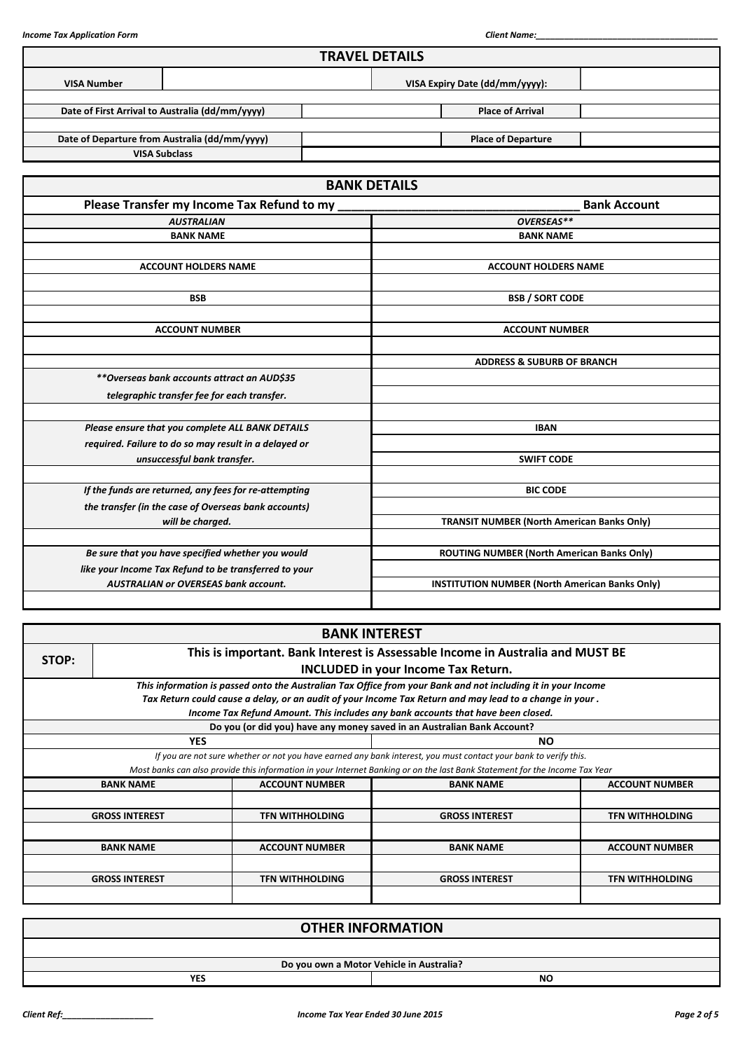| <b>TRAVEL DETAILS</b>                                                                      |                                                       |  |  |  |  |  |  |
|--------------------------------------------------------------------------------------------|-------------------------------------------------------|--|--|--|--|--|--|
| <b>VISA Number</b>                                                                         | VISA Expiry Date (dd/mm/yyyy):                        |  |  |  |  |  |  |
| Date of First Arrival to Australia (dd/mm/yyyy)                                            | <b>Place of Arrival</b>                               |  |  |  |  |  |  |
| Date of Departure from Australia (dd/mm/yyyy)                                              | <b>Place of Departure</b>                             |  |  |  |  |  |  |
| <b>VISA Subclass</b>                                                                       |                                                       |  |  |  |  |  |  |
|                                                                                            | <b>BANK DETAILS</b>                                   |  |  |  |  |  |  |
| Please Transfer my Income Tax Refund to my                                                 | <b>Bank Account</b>                                   |  |  |  |  |  |  |
| <b>AUSTRALIAN</b>                                                                          | OVERSEAS**                                            |  |  |  |  |  |  |
| <b>BANK NAME</b>                                                                           | <b>BANK NAME</b>                                      |  |  |  |  |  |  |
| <b>ACCOUNT HOLDERS NAME</b>                                                                | <b>ACCOUNT HOLDERS NAME</b>                           |  |  |  |  |  |  |
| <b>BSB</b>                                                                                 | <b>BSB / SORT CODE</b>                                |  |  |  |  |  |  |
| <b>ACCOUNT NUMBER</b>                                                                      | <b>ACCOUNT NUMBER</b>                                 |  |  |  |  |  |  |
|                                                                                            | <b>ADDRESS &amp; SUBURB OF BRANCH</b>                 |  |  |  |  |  |  |
| **Overseas bank accounts attract an AUD\$35<br>telegraphic transfer fee for each transfer. |                                                       |  |  |  |  |  |  |
| Please ensure that you complete ALL BANK DETAILS                                           | <b>IBAN</b>                                           |  |  |  |  |  |  |
| required. Failure to do so may result in a delayed or<br>unsuccessful bank transfer.       | <b>SWIFT CODE</b>                                     |  |  |  |  |  |  |
|                                                                                            |                                                       |  |  |  |  |  |  |
| If the funds are returned, any fees for re-attempting                                      | <b>BIC CODE</b>                                       |  |  |  |  |  |  |
| the transfer (in the case of Overseas bank accounts)                                       |                                                       |  |  |  |  |  |  |
| will be charged.                                                                           | <b>TRANSIT NUMBER (North American Banks Only)</b>     |  |  |  |  |  |  |
| Be sure that you have specified whether you would                                          | <b>ROUTING NUMBER (North American Banks Only)</b>     |  |  |  |  |  |  |
| like your Income Tax Refund to be transferred to your                                      |                                                       |  |  |  |  |  |  |
| <b>AUSTRALIAN or OVERSEAS bank account.</b>                                                | <b>INSTITUTION NUMBER (North American Banks Only)</b> |  |  |  |  |  |  |

| <b>BANK INTEREST</b> |                                                                                         |                        |                                                                                                                             |                        |  |  |  |  |  |  |  |
|----------------------|-----------------------------------------------------------------------------------------|------------------------|-----------------------------------------------------------------------------------------------------------------------------|------------------------|--|--|--|--|--|--|--|
|                      | This is important. Bank Interest is Assessable Income in Australia and MUST BE<br>STOP: |                        |                                                                                                                             |                        |  |  |  |  |  |  |  |
|                      | <b>INCLUDED in your Income Tax Return.</b>                                              |                        |                                                                                                                             |                        |  |  |  |  |  |  |  |
|                      |                                                                                         |                        | This information is passed onto the Australian Tax Office from your Bank and not including it in your Income                |                        |  |  |  |  |  |  |  |
|                      |                                                                                         |                        | Tax Return could cause a delay, or an audit of your Income Tax Return and may lead to a change in your.                     |                        |  |  |  |  |  |  |  |
|                      |                                                                                         |                        | Income Tax Refund Amount. This includes any bank accounts that have been closed.                                            |                        |  |  |  |  |  |  |  |
|                      |                                                                                         |                        | Do you (or did you) have any money saved in an Australian Bank Account?                                                     |                        |  |  |  |  |  |  |  |
|                      | <b>YES</b><br>NO.                                                                       |                        |                                                                                                                             |                        |  |  |  |  |  |  |  |
|                      |                                                                                         |                        | If you are not sure whether or not you have earned any bank interest, you must contact your bank to verify this.            |                        |  |  |  |  |  |  |  |
|                      |                                                                                         |                        | Most banks can also provide this information in your Internet Banking or on the last Bank Statement for the Income Tax Year |                        |  |  |  |  |  |  |  |
|                      | <b>BANK NAME</b>                                                                        | <b>ACCOUNT NUMBER</b>  | <b>BANK NAME</b>                                                                                                            | <b>ACCOUNT NUMBER</b>  |  |  |  |  |  |  |  |
|                      |                                                                                         |                        |                                                                                                                             |                        |  |  |  |  |  |  |  |
|                      | <b>GROSS INTEREST</b>                                                                   | <b>TFN WITHHOLDING</b> | <b>GROSS INTEREST</b>                                                                                                       | <b>TFN WITHHOLDING</b> |  |  |  |  |  |  |  |
|                      |                                                                                         |                        |                                                                                                                             |                        |  |  |  |  |  |  |  |
|                      | <b>ACCOUNT NUMBER</b><br><b>BANK NAME</b><br><b>ACCOUNT NUMBER</b><br><b>BANK NAME</b>  |                        |                                                                                                                             |                        |  |  |  |  |  |  |  |
|                      |                                                                                         |                        |                                                                                                                             |                        |  |  |  |  |  |  |  |
|                      | <b>GROSS INTEREST</b>                                                                   | <b>TFN WITHHOLDING</b> | <b>GROSS INTEREST</b>                                                                                                       | <b>TFN WITHHOLDING</b> |  |  |  |  |  |  |  |
|                      |                                                                                         |                        |                                                                                                                             |                        |  |  |  |  |  |  |  |

| <b>OTHER INFORMATION</b> |                                          |  |  |  |  |  |
|--------------------------|------------------------------------------|--|--|--|--|--|
|                          |                                          |  |  |  |  |  |
|                          | Do you own a Motor Vehicle in Australia? |  |  |  |  |  |
| <b>YES</b><br><b>NO</b>  |                                          |  |  |  |  |  |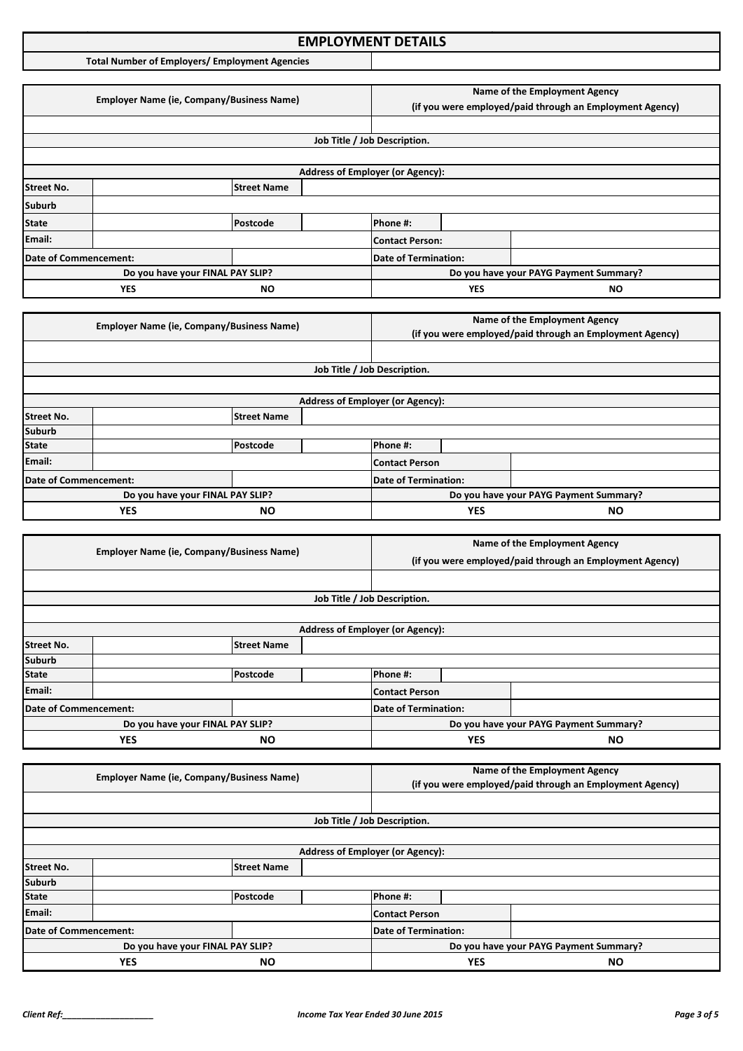|                       | <b>EMPLOYMENT DETAILS</b>                             |                                  |  |                              |                                                                                           |                                                                                           |  |
|-----------------------|-------------------------------------------------------|----------------------------------|--|------------------------------|-------------------------------------------------------------------------------------------|-------------------------------------------------------------------------------------------|--|
|                       | <b>Total Number of Employers/ Employment Agencies</b> |                                  |  |                              |                                                                                           |                                                                                           |  |
|                       |                                                       |                                  |  |                              |                                                                                           |                                                                                           |  |
|                       | <b>Employer Name (ie, Company/Business Name)</b>      |                                  |  |                              |                                                                                           | Name of the Employment Agency<br>(if you were employed/paid through an Employment Agency) |  |
|                       |                                                       |                                  |  |                              |                                                                                           |                                                                                           |  |
|                       |                                                       |                                  |  | Job Title / Job Description. |                                                                                           |                                                                                           |  |
|                       |                                                       |                                  |  |                              |                                                                                           |                                                                                           |  |
|                       | <b>Address of Employer (or Agency):</b>               |                                  |  |                              |                                                                                           |                                                                                           |  |
| <b>Street No.</b>     |                                                       | <b>Street Name</b>               |  |                              |                                                                                           |                                                                                           |  |
| <b>Suburb</b>         |                                                       |                                  |  |                              |                                                                                           |                                                                                           |  |
| <b>State</b>          |                                                       | Postcode                         |  | Phone #:                     |                                                                                           |                                                                                           |  |
| Email:                |                                                       |                                  |  | <b>Contact Person:</b>       |                                                                                           |                                                                                           |  |
| Date of Commencement: |                                                       |                                  |  | <b>Date of Termination:</b>  |                                                                                           |                                                                                           |  |
|                       |                                                       | Do you have your FINAL PAY SLIP? |  |                              |                                                                                           | Do you have your PAYG Payment Summary?                                                    |  |
|                       | <b>YES</b>                                            | <b>NO</b>                        |  |                              | <b>YES</b>                                                                                | <b>NO</b>                                                                                 |  |
|                       |                                                       |                                  |  |                              |                                                                                           |                                                                                           |  |
|                       | <b>Employer Name (ie, Company/Business Name)</b>      |                                  |  |                              | Name of the Employment Agency<br>(if you were employed/paid through an Employment Agency) |                                                                                           |  |
|                       |                                                       |                                  |  |                              |                                                                                           |                                                                                           |  |
|                       |                                                       |                                  |  | Job Title / Job Description. |                                                                                           |                                                                                           |  |

|                                  | <b>Address of Employer (or Agency):</b> |                    |  |                       |                                        |  |  |  |  |  |
|----------------------------------|-----------------------------------------|--------------------|--|-----------------------|----------------------------------------|--|--|--|--|--|
| <b>Street No.</b>                |                                         | <b>Street Name</b> |  |                       |                                        |  |  |  |  |  |
| <b>Suburb</b>                    |                                         |                    |  |                       |                                        |  |  |  |  |  |
| <b>State</b>                     |                                         | Postcode           |  | Phone #:              |                                        |  |  |  |  |  |
| Email:                           |                                         |                    |  | <b>Contact Person</b> |                                        |  |  |  |  |  |
| Date of Commencement:            |                                         |                    |  | Date of Termination:  |                                        |  |  |  |  |  |
| Do you have your FINAL PAY SLIP? |                                         |                    |  |                       | Do you have your PAYG Payment Summary? |  |  |  |  |  |
| <b>NO</b><br><b>YES</b>          |                                         |                    |  | <b>YES</b>            | <b>NO</b>                              |  |  |  |  |  |

|                              | <b>Employer Name (ie, Company/Business Name)</b> |                             |                                         |                                                          | Name of the Employment Agency |  |  |  |  |
|------------------------------|--------------------------------------------------|-----------------------------|-----------------------------------------|----------------------------------------------------------|-------------------------------|--|--|--|--|
|                              |                                                  |                             |                                         | (if you were employed/paid through an Employment Agency) |                               |  |  |  |  |
|                              |                                                  |                             |                                         |                                                          |                               |  |  |  |  |
|                              |                                                  |                             |                                         | Job Title / Job Description.                             |                               |  |  |  |  |
|                              |                                                  |                             |                                         |                                                          |                               |  |  |  |  |
|                              |                                                  |                             | <b>Address of Employer (or Agency):</b> |                                                          |                               |  |  |  |  |
| <b>Street No.</b>            |                                                  | <b>Street Name</b>          |                                         |                                                          |                               |  |  |  |  |
| <b>Suburb</b>                |                                                  |                             |                                         |                                                          |                               |  |  |  |  |
| <b>State</b>                 |                                                  | Postcode                    |                                         | Phone #:                                                 |                               |  |  |  |  |
| Email:                       |                                                  |                             |                                         | <b>Contact Person</b>                                    |                               |  |  |  |  |
| <b>Date of Commencement:</b> |                                                  | <b>Date of Termination:</b> |                                         |                                                          |                               |  |  |  |  |
|                              | Do you have your FINAL PAY SLIP?                 |                             |                                         | Do you have your PAYG Payment Summary?                   |                               |  |  |  |  |
| <b>YES</b><br><b>NO</b>      |                                                  |                             | <b>YES</b><br>ΝO                        |                                                          |                               |  |  |  |  |

| <b>Employer Name (ie, Company/Business Name)</b> |                    |                      |                                         | Name of the Employment Agency |  |                                                          |  |
|--------------------------------------------------|--------------------|----------------------|-----------------------------------------|-------------------------------|--|----------------------------------------------------------|--|
|                                                  |                    |                      |                                         |                               |  | (if you were employed/paid through an Employment Agency) |  |
|                                                  |                    |                      |                                         |                               |  |                                                          |  |
|                                                  |                    |                      |                                         | Job Title / Job Description.  |  |                                                          |  |
|                                                  |                    |                      |                                         |                               |  |                                                          |  |
|                                                  |                    |                      | <b>Address of Employer (or Agency):</b> |                               |  |                                                          |  |
| <b>Street No.</b>                                | <b>Street Name</b> |                      |                                         |                               |  |                                                          |  |
| <b>Suburb</b>                                    |                    |                      |                                         |                               |  |                                                          |  |
| <b>State</b>                                     |                    | Postcode             |                                         | Phone #:                      |  |                                                          |  |
| Email:                                           |                    |                      |                                         | <b>Contact Person</b>         |  |                                                          |  |
| Date of Commencement:                            |                    | Date of Termination: |                                         |                               |  |                                                          |  |
| Do you have your FINAL PAY SLIP?                 |                    |                      | Do you have your PAYG Payment Summary?  |                               |  |                                                          |  |
| <b>YES</b><br>ΝO                                 |                    |                      | <b>YES</b><br><b>NO</b>                 |                               |  |                                                          |  |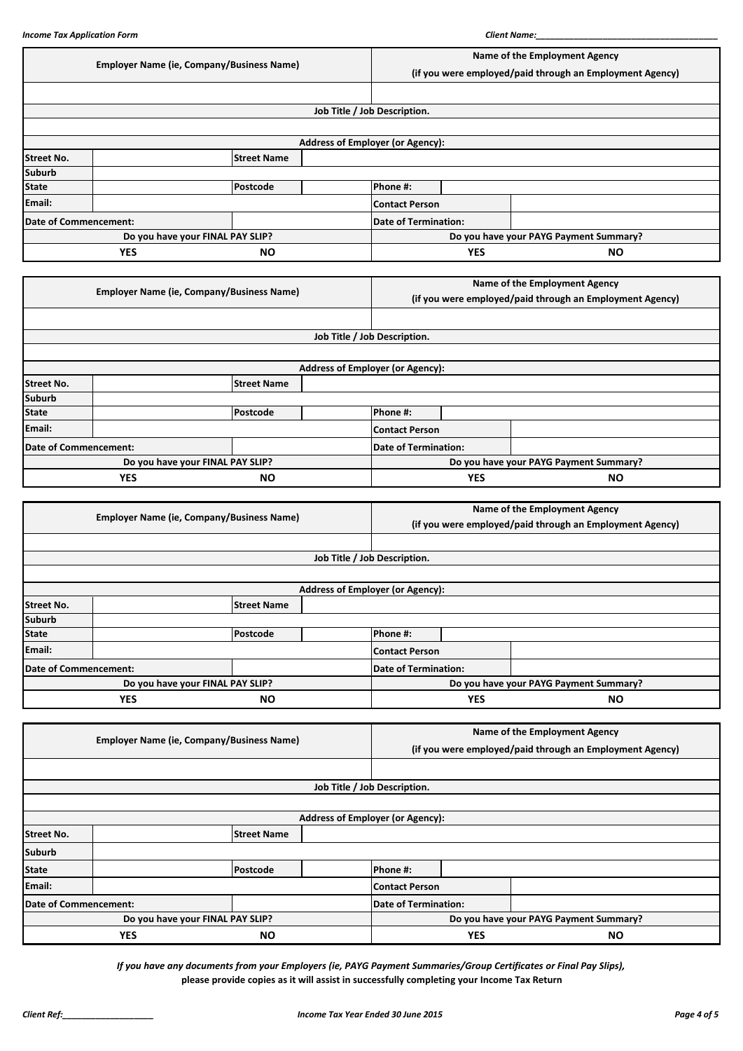|                       |            | <b>Employer Name (ie, Company/Business Name)</b> |                                         |                                                          | Name of the Employment Agency<br>(if you were employed/paid through an Employment Agency) |  |  |
|-----------------------|------------|--------------------------------------------------|-----------------------------------------|----------------------------------------------------------|-------------------------------------------------------------------------------------------|--|--|
|                       |            |                                                  |                                         |                                                          |                                                                                           |  |  |
|                       |            |                                                  | Job Title / Job Description.            |                                                          |                                                                                           |  |  |
|                       |            |                                                  |                                         |                                                          |                                                                                           |  |  |
|                       |            |                                                  | <b>Address of Employer (or Agency):</b> |                                                          |                                                                                           |  |  |
| <b>Street No.</b>     |            | <b>Street Name</b>                               |                                         |                                                          |                                                                                           |  |  |
| <b>Suburb</b>         |            |                                                  |                                         |                                                          |                                                                                           |  |  |
| <b>State</b>          |            | Postcode                                         | Phone #:                                |                                                          |                                                                                           |  |  |
| Email:                |            |                                                  | <b>Contact Person</b>                   |                                                          |                                                                                           |  |  |
| Date of Commencement: |            |                                                  | <b>Date of Termination:</b>             |                                                          |                                                                                           |  |  |
|                       |            | Do you have your FINAL PAY SLIP?                 |                                         | Do you have your PAYG Payment Summary?                   |                                                                                           |  |  |
|                       | <b>YES</b> | <b>NO</b>                                        |                                         | <b>YES</b>                                               | <b>NO</b>                                                                                 |  |  |
|                       |            |                                                  |                                         |                                                          |                                                                                           |  |  |
|                       |            | <b>Employer Name (ie, Company/Business Name)</b> |                                         | Name of the Employment Agency                            |                                                                                           |  |  |
|                       |            |                                                  |                                         | (if you were employed/paid through an Employment Agency) |                                                                                           |  |  |
|                       |            |                                                  |                                         |                                                          |                                                                                           |  |  |
|                       |            |                                                  | Job Title / Job Description.            |                                                          |                                                                                           |  |  |
|                       |            |                                                  |                                         |                                                          |                                                                                           |  |  |
|                       |            |                                                  | <b>Address of Employer (or Agency):</b> |                                                          |                                                                                           |  |  |
| <b>Street No.</b>     |            | <b>Street Name</b>                               |                                         |                                                          |                                                                                           |  |  |
| <b>Suburb</b>         |            |                                                  |                                         |                                                          |                                                                                           |  |  |
|                       |            |                                                  |                                         |                                                          |                                                                                           |  |  |

| Suburb                |                                  |           |                       |            |                                        |
|-----------------------|----------------------------------|-----------|-----------------------|------------|----------------------------------------|
| <b>State</b>          |                                  | Postcode  | Phone #:              |            |                                        |
| Email:                |                                  |           | <b>Contact Person</b> |            |                                        |
| Date of Commencement: |                                  |           | Date of Termination:  |            |                                        |
|                       | Do you have your FINAL PAY SLIP? |           |                       |            | Do you have your PAYG Payment Summary? |
|                       | <b>YES</b>                       | <b>NO</b> |                       | <b>YES</b> | <b>NO</b>                              |

|                   | <b>Employer Name (ie, Company/Business Name)</b> |                    |  |                                         | Name of the Employment Agency                            |  |  |  |
|-------------------|--------------------------------------------------|--------------------|--|-----------------------------------------|----------------------------------------------------------|--|--|--|
|                   |                                                  |                    |  |                                         | (if you were employed/paid through an Employment Agency) |  |  |  |
|                   |                                                  |                    |  |                                         |                                                          |  |  |  |
|                   |                                                  |                    |  | Job Title / Job Description.            |                                                          |  |  |  |
|                   |                                                  |                    |  |                                         |                                                          |  |  |  |
|                   |                                                  |                    |  | <b>Address of Employer (or Agency):</b> |                                                          |  |  |  |
| <b>Street No.</b> |                                                  | <b>Street Name</b> |  |                                         |                                                          |  |  |  |
| <b>Suburb</b>     |                                                  |                    |  |                                         |                                                          |  |  |  |
| <b>State</b>      |                                                  | Postcode           |  | Phone #:                                |                                                          |  |  |  |
| Email:            |                                                  |                    |  | <b>Contact Person</b>                   |                                                          |  |  |  |
|                   | Date of Commencement:                            |                    |  | Date of Termination:                    |                                                          |  |  |  |
|                   | Do you have your FINAL PAY SLIP?                 |                    |  | Do you have your PAYG Payment Summary?  |                                                          |  |  |  |
|                   | <b>YES</b><br><b>NO</b>                          |                    |  | <b>YES</b><br><b>NO</b>                 |                                                          |  |  |  |

|                         | <b>Employer Name (ie, Company/Business Name)</b> |                    |                                         |                                                          | Name of the Employment Agency |  |  |  |
|-------------------------|--------------------------------------------------|--------------------|-----------------------------------------|----------------------------------------------------------|-------------------------------|--|--|--|
|                         |                                                  |                    |                                         | (if you were employed/paid through an Employment Agency) |                               |  |  |  |
|                         |                                                  |                    |                                         |                                                          |                               |  |  |  |
|                         |                                                  |                    |                                         | Job Title / Job Description.                             |                               |  |  |  |
|                         |                                                  |                    |                                         |                                                          |                               |  |  |  |
|                         |                                                  |                    | <b>Address of Employer (or Agency):</b> |                                                          |                               |  |  |  |
| <b>Street No.</b>       |                                                  | <b>Street Name</b> |                                         |                                                          |                               |  |  |  |
| <b>Suburb</b>           |                                                  |                    |                                         |                                                          |                               |  |  |  |
| <b>State</b>            |                                                  | <b>Postcode</b>    |                                         | Phone #:                                                 |                               |  |  |  |
| Email:                  |                                                  |                    |                                         | <b>Contact Person</b>                                    |                               |  |  |  |
| Date of Commencement:   |                                                  |                    | Date of Termination:                    |                                                          |                               |  |  |  |
|                         | Do you have your FINAL PAY SLIP?                 |                    |                                         | Do you have your PAYG Payment Summary?                   |                               |  |  |  |
| <b>YES</b><br><b>NO</b> |                                                  |                    | <b>YES</b><br><b>NO</b>                 |                                                          |                               |  |  |  |

*If you have any documents from your Employers (ie, PAYG Payment Summaries/Group Certificates or Final Pay Slips),* **please provide copies as it will assist in successfully completing your Income Tax Return**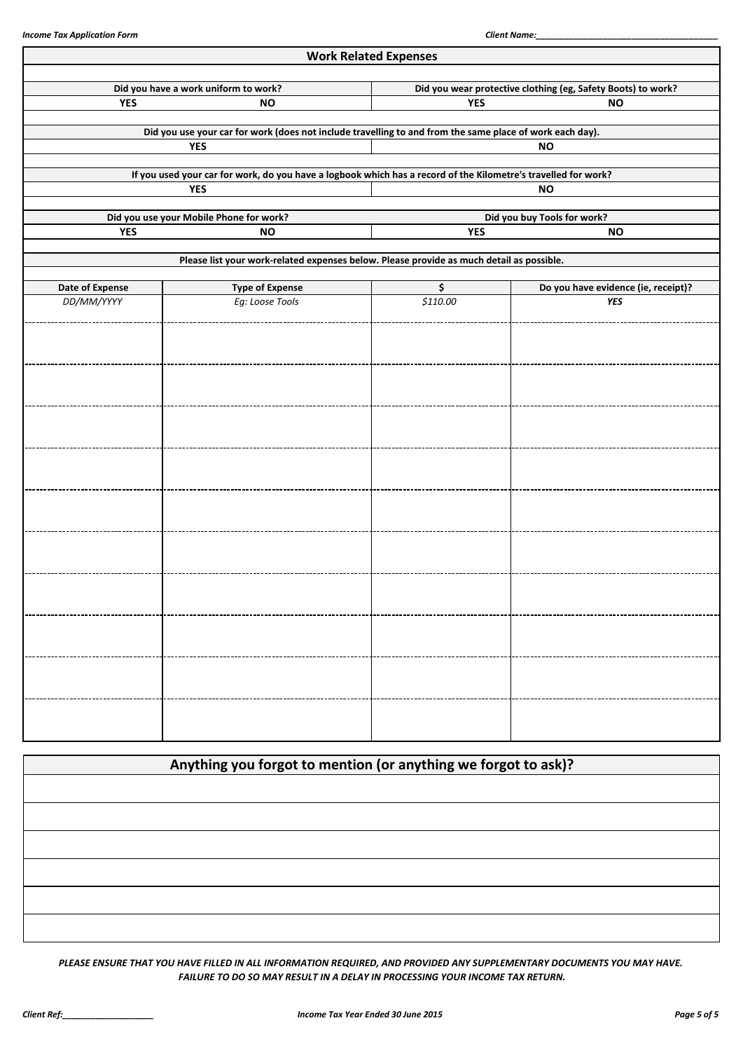| <b>Work Related Expenses</b>         |                                                                                                                |                                                              |                                     |  |
|--------------------------------------|----------------------------------------------------------------------------------------------------------------|--------------------------------------------------------------|-------------------------------------|--|
|                                      |                                                                                                                |                                                              |                                     |  |
| Did you have a work uniform to work? |                                                                                                                | Did you wear protective clothing (eg, Safety Boots) to work? |                                     |  |
| <b>YES</b>                           | <b>NO</b>                                                                                                      | <b>YES</b>                                                   | <b>NO</b>                           |  |
|                                      | Did you use your car for work (does not include travelling to and from the same place of work each day).       |                                                              |                                     |  |
|                                      | <b>YES</b>                                                                                                     |                                                              | <b>NO</b>                           |  |
|                                      |                                                                                                                |                                                              |                                     |  |
|                                      | If you used your car for work, do you have a logbook which has a record of the Kilometre's travelled for work? |                                                              |                                     |  |
|                                      | YES                                                                                                            |                                                              | <b>NO</b>                           |  |
|                                      |                                                                                                                |                                                              |                                     |  |
|                                      | Did you use your Mobile Phone for work?                                                                        | Did you buy Tools for work?                                  |                                     |  |
| <b>YES</b>                           | <b>NO</b>                                                                                                      | <b>YES</b>                                                   | <b>NO</b>                           |  |
|                                      | Please list your work-related expenses below. Please provide as much detail as possible.                       |                                                              |                                     |  |
|                                      |                                                                                                                |                                                              |                                     |  |
| Date of Expense                      | <b>Type of Expense</b>                                                                                         | \$                                                           | Do you have evidence (ie, receipt)? |  |
| DD/MM/YYYY                           | Eg: Loose Tools                                                                                                | \$110.00                                                     | YES                                 |  |
|                                      |                                                                                                                |                                                              |                                     |  |
|                                      |                                                                                                                |                                                              |                                     |  |
|                                      |                                                                                                                |                                                              |                                     |  |
|                                      |                                                                                                                |                                                              |                                     |  |
|                                      |                                                                                                                |                                                              |                                     |  |
|                                      |                                                                                                                |                                                              |                                     |  |
|                                      |                                                                                                                |                                                              |                                     |  |
|                                      |                                                                                                                |                                                              |                                     |  |
|                                      |                                                                                                                |                                                              |                                     |  |
|                                      |                                                                                                                |                                                              |                                     |  |
|                                      |                                                                                                                |                                                              |                                     |  |
|                                      |                                                                                                                |                                                              |                                     |  |
|                                      |                                                                                                                |                                                              |                                     |  |
|                                      |                                                                                                                |                                                              |                                     |  |
|                                      |                                                                                                                |                                                              |                                     |  |
|                                      |                                                                                                                |                                                              |                                     |  |
|                                      |                                                                                                                |                                                              |                                     |  |
|                                      |                                                                                                                |                                                              |                                     |  |
|                                      |                                                                                                                |                                                              |                                     |  |
|                                      |                                                                                                                |                                                              |                                     |  |
|                                      |                                                                                                                |                                                              |                                     |  |
|                                      |                                                                                                                |                                                              |                                     |  |
|                                      |                                                                                                                |                                                              |                                     |  |
|                                      |                                                                                                                |                                                              |                                     |  |
|                                      |                                                                                                                |                                                              |                                     |  |
|                                      |                                                                                                                |                                                              |                                     |  |
|                                      |                                                                                                                |                                                              |                                     |  |
|                                      |                                                                                                                |                                                              |                                     |  |

**Anything you forgot to mention (or anything we forgot to ask)?**

*PLEASE ENSURE THAT YOU HAVE FILLED IN ALL INFORMATION REQUIRED, AND PROVIDED ANY SUPPLEMENTARY DOCUMENTS YOU MAY HAVE. FAILURE TO DO SO MAY RESULT IN A DELAY IN PROCESSING YOUR INCOME TAX RETURN.*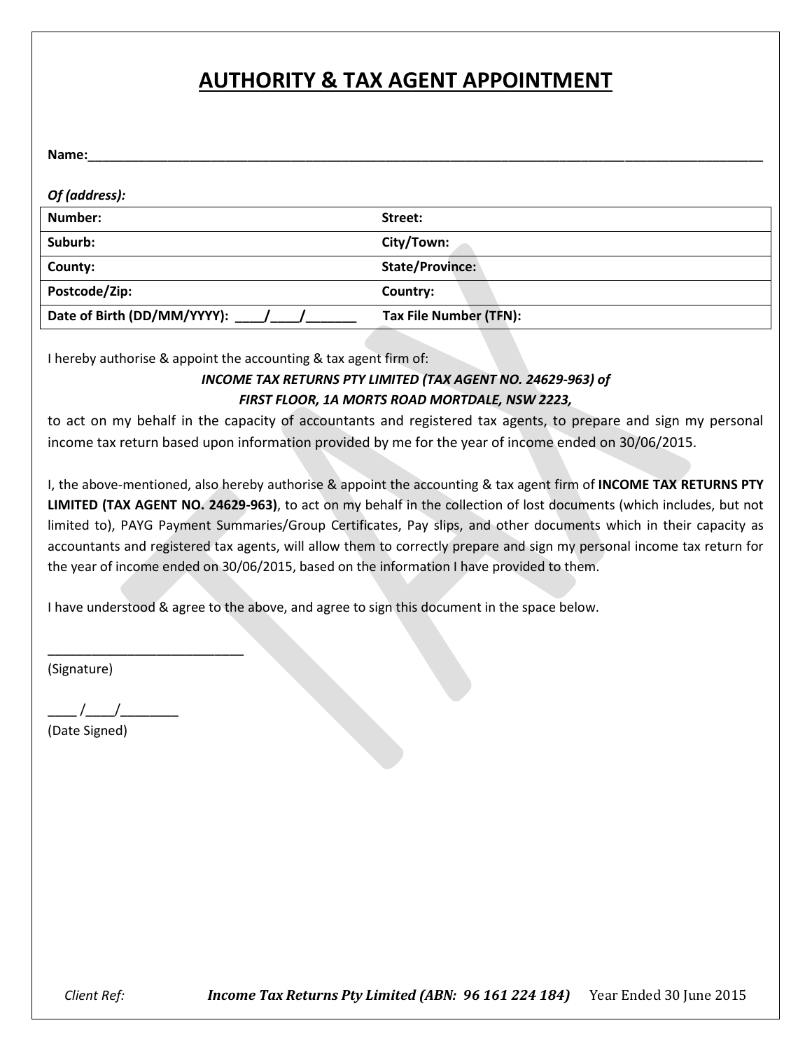## **AUTHORITY & TAX AGENT APPOINTMENT**

| Name:                       |                        |
|-----------------------------|------------------------|
|                             |                        |
| Of (address):               |                        |
| Number:                     | Street:                |
| Suburb:                     | City/Town:             |
| County:                     | State/Province:        |
| Postcode/Zip:               | Country:               |
| Date of Birth (DD/MM/YYYY): | Tax File Number (TFN): |

I hereby authorise & appoint the accounting & tax agent firm of:

## *INCOME TAX RETURNS PTY LIMITED (TAX AGENT NO. 24629-963) of FIRST FLOOR, 1A MORTS ROAD MORTDALE, NSW 2223,*

to act on my behalf in the capacity of accountants and registered tax agents, to prepare and sign my personal income tax return based upon information provided by me for the year of income ended on 30/06/2015.

I, the above-mentioned, also hereby authorise & appoint the accounting & tax agent firm of **INCOME TAX RETURNS PTY LIMITED (TAX AGENT NO. 24629-963)**, to act on my behalf in the collection of lost documents (which includes, but not limited to), PAYG Payment Summaries/Group Certificates, Pay slips, and other documents which in their capacity as accountants and registered tax agents, will allow them to correctly prepare and sign my personal income tax return for the year of income ended on 30/06/2015, based on the information I have provided to them.

I have understood & agree to the above, and agree to sign this document in the space below.

(Signature)

\_\_\_\_ /\_\_\_\_/\_\_\_\_\_\_\_\_

\_\_\_\_\_\_\_\_\_\_\_\_\_\_\_\_\_\_\_\_\_\_\_\_\_\_\_

(Date Signed)